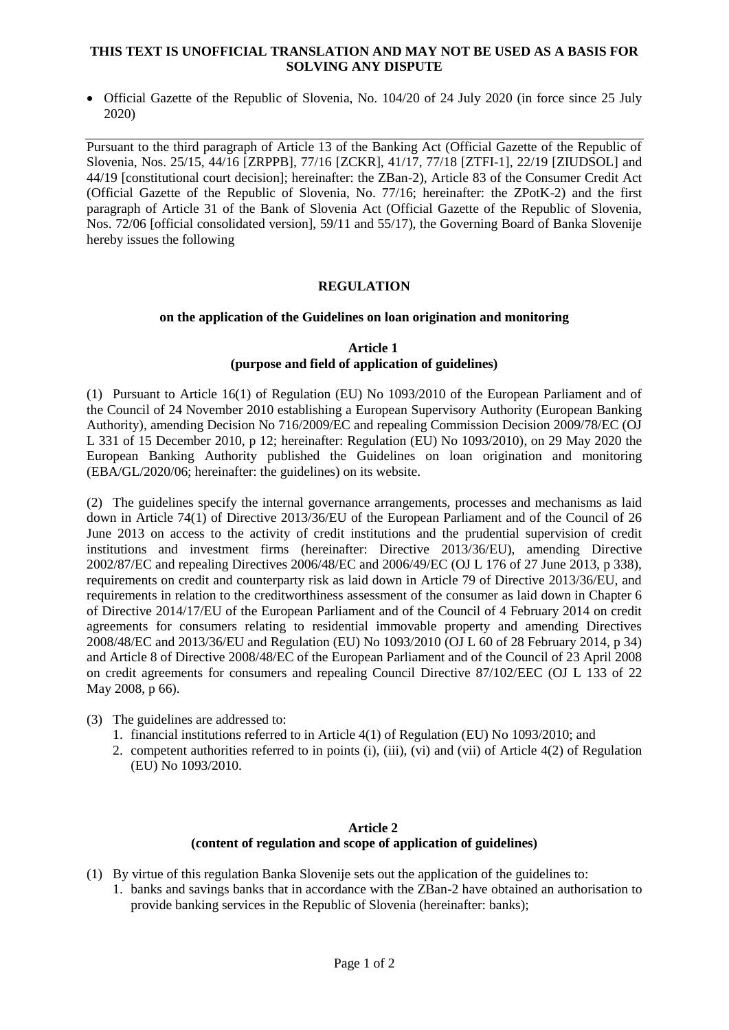#### **THIS TEXT IS UNOFFICIAL TRANSLATION AND MAY NOT BE USED AS A BASIS FOR SOLVING ANY DISPUTE**

• Official Gazette of the Republic of Slovenia, No. 104/20 of 24 July 2020 (in force since 25 July 2020)

Pursuant to the third paragraph of Article 13 of the Banking Act (Official Gazette of the Republic of Slovenia, Nos. 25/15, 44/16 [ZRPPB], 77/16 [ZCKR], 41/17, 77/18 [ZTFI-1], 22/19 [ZIUDSOL] and 44/19 [constitutional court decision]; hereinafter: the ZBan-2), Article 83 of the Consumer Credit Act (Official Gazette of the Republic of Slovenia, No. 77/16; hereinafter: the ZPotK-2) and the first paragraph of Article 31 of the Bank of Slovenia Act (Official Gazette of the Republic of Slovenia, Nos. 72/06 [official consolidated version], 59/11 and 55/17), the Governing Board of Banka Slovenije hereby issues the following

# **REGULATION**

#### **on the application of the Guidelines on loan origination and monitoring**

### **Article 1 (purpose and field of application of guidelines)**

(1) Pursuant to Article 16(1) of Regulation (EU) No 1093/2010 of the European Parliament and of the Council of 24 November 2010 establishing a European Supervisory Authority (European Banking Authority), amending Decision No 716/2009/EC and repealing Commission Decision 2009/78/EC (OJ L 331 of 15 December 2010, p 12; hereinafter: Regulation (EU) No 1093/2010), on 29 May 2020 the European Banking Authority published the Guidelines on loan origination and monitoring (EBA/GL/2020/06; hereinafter: the guidelines) on its website.

(2) The guidelines specify the internal governance arrangements, processes and mechanisms as laid down in Article 74(1) of Directive 2013/36/EU of the European Parliament and of the Council of 26 June 2013 on access to the activity of credit institutions and the prudential supervision of credit institutions and investment firms (hereinafter: Directive 2013/36/EU), amending Directive 2002/87/EC and repealing Directives 2006/48/EC and 2006/49/EC (OJ L 176 of 27 June 2013, p 338), requirements on credit and counterparty risk as laid down in Article 79 of Directive 2013/36/EU, and requirements in relation to the creditworthiness assessment of the consumer as laid down in Chapter 6 of Directive 2014/17/EU of the European Parliament and of the Council of 4 February 2014 on credit agreements for consumers relating to residential immovable property and amending Directives 2008/48/EC and 2013/36/EU and Regulation (EU) No 1093/2010 (OJ L 60 of 28 February 2014, p 34) and Article 8 of Directive 2008/48/EC of the European Parliament and of the Council of 23 April 2008 on credit agreements for consumers and repealing Council Directive 87/102/EEC (OJ L 133 of 22 May 2008, p 66).

- (3) The guidelines are addressed to:
	- 1. financial institutions referred to in Article 4(1) of Regulation (EU) No 1093/2010; and
	- 2. competent authorities referred to in points (i), (iii), (vi) and (vii) of Article 4(2) of Regulation (EU) No 1093/2010.

#### **Article 2 (content of regulation and scope of application of guidelines)**

- (1) By virtue of this regulation Banka Slovenije sets out the application of the guidelines to:
	- 1. banks and savings banks that in accordance with the ZBan-2 have obtained an authorisation to provide banking services in the Republic of Slovenia (hereinafter: banks);